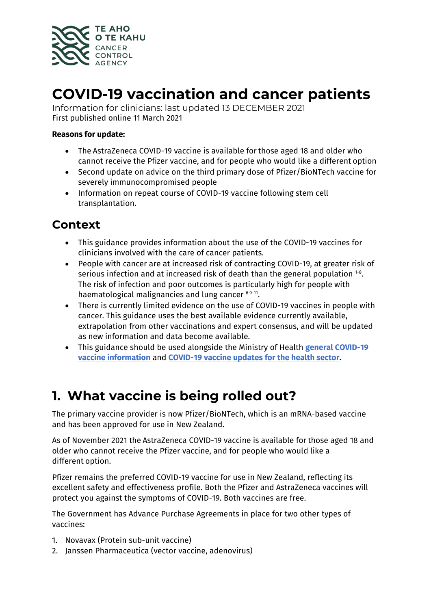

## **COVID-19 vaccination and cancer patients**

Information for clinicians: last updated 13 DECEMBER 2021 First published online 11 March 2021

#### **Reasons for update:**

- The AstraZeneca COVID-19 vaccine is available for those aged 18 and older who cannot receive the Pfizer vaccine, and for people who would like a different option
- Second update on advice on the third primary dose of Pfizer/BioNTech vaccine for severely immunocompromised people
- Information on repeat course of COVID-19 vaccine following stem cell transplantation.

### **Context**

- This guidance provides information about the use of the COVID-19 vaccines for clinicians involved with the care of cancer patients.
- People with cancer are at increased risk of contracting COVID-19, at greater risk of serious infection and at increased risk of death than the general population  $^{1-8}$ . The risk of infection and poor outcomes is particularly high for people with haematological malignancies and lung cancer 69-11.
- There is currently limited evidence on the use of COVID-19 vaccines in people with cancer. This guidance uses the best available evidence currently available, extrapolation from other vaccinations and expert consensus, and will be updated as new information and data become available.
- This guidance should be used alongside the Ministry of Health **[general COVID-19](https://www.health.govt.nz/our-work/diseases-and-conditions/covid-19-novel-coronavirus/covid-19-vaccines)  [vaccine information](https://www.health.govt.nz/our-work/diseases-and-conditions/covid-19-novel-coronavirus/covid-19-vaccines)** and **[COVID-19 vaccine updates for the health sector](https://www.health.govt.nz/our-work/diseases-and-conditions/covid-19-novel-coronavirus/covid-19-vaccines/covid-19-vaccine-updates-health-sector)**.

### **1. What vaccine is being rolled out?**

The primary vaccine provider is now Pfizer/BioNTech, which is an mRNA-based vaccine and has been approved for use in New Zealand.

As of November 2021 the AstraZeneca COVID-19 vaccine is available for those aged 18 and older who cannot receive the Pfizer vaccine, and for people who would like a different option.

Pfizer remains the preferred COVID-19 vaccine for use in New Zealand, reflecting its excellent safety and effectiveness profile. Both the Pfizer and AstraZeneca vaccines will protect you against the symptoms of COVID-19. Both vaccines are free.

The Government has Advance Purchase Agreements in place for two other types of vaccines:

- 1. Novavax (Protein sub-unit vaccine)
- 2. Janssen Pharmaceutica (vector vaccine, adenovirus)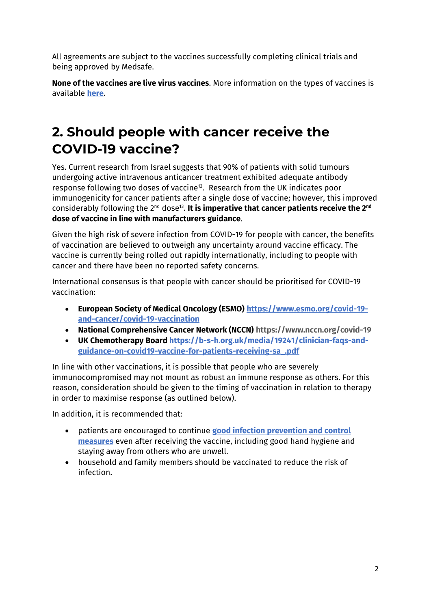All agreements are subject to the vaccines successfully completing clinical trials and being approved by Medsafe.

**None of the vaccines are live virus vaccines**. More information on the types of vaccines is available **[here](https://www.health.govt.nz/our-work/diseases-and-conditions/covid-19-novel-coronavirus/covid-19-vaccines/covid-19-types-vaccines)**.

## **2. Should people with cancer receive the COVID-19 vaccine?**

Yes. Current research from Israel suggests that 90% of patients with solid tumours undergoing active intravenous anticancer treatment exhibited adequate antibody response following two doses of vaccine<sup>12</sup>. Research from the UK indicates poor immunogenicity for cancer patients after a single dose of vaccine; however, this improved considerably following the 2<sup>nd</sup> dose<sup>13</sup>. It is imperative that cancer patients receive the 2<sup>nd</sup> **dose of vaccine in line with manufacturers guidance**.

Given the high risk of severe infection from COVID-19 for people with cancer, the benefits of vaccination are believed to outweigh any uncertainty around vaccine efficacy. The vaccine is currently being rolled out rapidly internationally, including to people with cancer and there have been no reported safety concerns.

International consensus is that people with cancer should be prioritised for COVID-19 vaccination:

- **European Society of Medical Oncology (ESMO) [https://www.esmo.org/covid-19](https://www.esmo.org/covid-19-and-cancer/covid-19-vaccination) [and-cancer/covid-19-vaccination](https://www.esmo.org/covid-19-and-cancer/covid-19-vaccination)**
- **National Comprehensive Cancer Network (NCCN) <https://www.nccn.org/covid-19>**
- **UK Chemotherapy Board [https://b-s-h.org.uk/media/19241/clinician-faqs-and](https://b-s-h.org.uk/media/19241/clinician-faqs-and-guidance-on-covid19-vaccine-for-patients-receiving-sa_.pdf)[guidance-on-covid19-vaccine-for-patients-receiving-sa\\_.pdf](https://b-s-h.org.uk/media/19241/clinician-faqs-and-guidance-on-covid19-vaccine-for-patients-receiving-sa_.pdf)**

In line with other vaccinations, it is possible that people who are severely immunocompromised may not mount as robust an immune response as others. For this reason, consideration should be given to the timing of vaccination in relation to therapy in order to maximise response (as outlined below).

In addition, it is recommended that:

- patients are encouraged to continue **[good infection prevention and control](https://www.health.govt.nz/our-work/diseases-and-conditions/covid-19-novel-coronavirus/covid-19-health-advice-public/protecting-yourself-and-others-covid-19)  [measures](https://www.health.govt.nz/our-work/diseases-and-conditions/covid-19-novel-coronavirus/covid-19-health-advice-public/protecting-yourself-and-others-covid-19)** even after receiving the vaccine, including good hand hygiene and staying away from others who are unwell.
- household and family members should be vaccinated to reduce the risk of infection.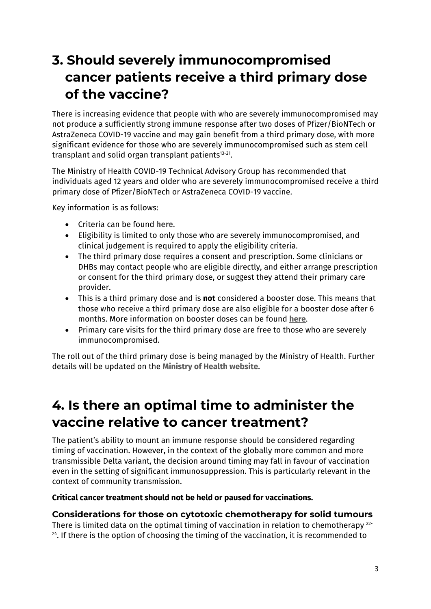## **3. Should severely immunocompromised cancer patients receive a third primary dose of the vaccine?**

There is increasing evidence that people with who are severely immunocompromised may not produce a sufficiently strong immune response after two doses of Pfizer/BioNTech or AstraZeneca COVID-19 vaccine and may gain benefit from a third primary dose, with more significant evidence for those who are severely immunocompromised such as stem cell transplant and solid organ transplant patients<sup>13-21</sup>.

The Ministry of Health COVID-19 Technical Advisory Group has recommended that individuals aged 12 years and older who are severely immunocompromised receive a third primary dose of Pfizer/BioNTech or AstraZeneca COVID-19 vaccine.

Key information is as follows:

- Criteria can be found **[here.](https://www.health.govt.nz/our-work/diseases-and-conditions/covid-19-novel-coronavirus/covid-19-vaccines/covid-19-vaccine-health-advice/covid-19-vaccine-severely-immunocompromised-people)**
- Eligibility is limited to only those who are severely immunocompromised, and clinical judgement is required to apply the eligibility criteria.
- The third primary dose requires a consent and prescription. Some clinicians or DHBs may contact people who are eligible directly, and either arrange prescription or consent for the third primary dose, or suggest they attend their primary care provider.
- This is a third primary dose and is **not** considered a booster dose. This means that those who receive a third primary dose are also eligible for a booster dose after 6 months. More information on booster doses can be found **[here](https://www.health.govt.nz/our-work/diseases-and-conditions/covid-19-novel-coronavirus/covid-19-vaccines/covid-19-vaccine-boosters)**.
- Primary care visits for the third primary dose are free to those who are severely immunocompromised.

The roll out of the third primary dose is being managed by the Ministry of Health. Further details will be updated on the **[Ministry of Health website](https://www.health.govt.nz/our-work/diseases-and-conditions/covid-19-novel-coronavirus/covid-19-vaccines/covid-19-vaccine-information-health-professionals/covid-19-vaccine-operating-and-planning-guidelines#third)**.

## **4. Is there an optimal time to administer the vaccine relative to cancer treatment?**

The patient's ability to mount an immune response should be considered regarding timing of vaccination. However, in the context of the globally more common and more transmissible Delta variant, the decision around timing may fall in favour of vaccination even in the setting of significant immunosuppression. This is particularly relevant in the context of community transmission.

#### **Critical cancer treatment should not be held or paused for vaccinations.**

#### **Considerations for those on cytotoxic chemotherapy for solid tumours**

There is limited data on the optimal timing of vaccination in relation to chemotherapy  $^{22}$  $24$ . If there is the option of choosing the timing of the vaccination, it is recommended to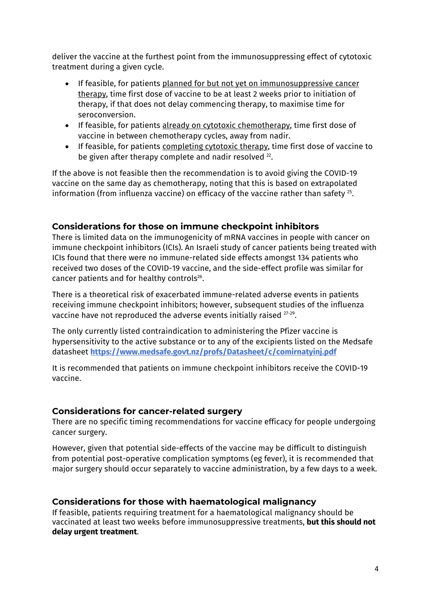deliver the vaccine at the furthest point from the immunosuppressing effect of cytotoxic treatment during a given cycle.

- If feasible, for patients planned for but not yet on immunosuppressive cancer therapy, time first dose of vaccine to be at least 2 weeks prior to initiation of therapy, if that does not delay commencing therapy, to maximise time for seroconversion.
- If feasible, for patients already on cytotoxic chemotherapy, time first dose of vaccine in between chemotherapy cycles, away from nadir.
- If feasible, for patients completing cytotoxic therapy, time first dose of vaccine to be given after therapy complete and nadir resolved <sup>22</sup>.

If the above is not feasible then the recommendation is to avoid giving the COVID-19 vaccine on the same day as chemotherapy, noting that this is based on extrapolated information (from influenza vaccine) on efficacy of the vaccine rather than safety <sup>25</sup>.

#### **Considerations for those on immune checkpoint inhibitors**

There is limited data on the immunogenicity of mRNA vaccines in people with cancer on immune checkpoint inhibitors (ICIs). An Israeli study of cancer patients being treated with ICIs found that there were no immune-related side effects amongst 134 patients who received two doses of the COVID-19 vaccine, and the side-effect profile was similar for cancer patients and for healthy controls<sup>26</sup>.

There is a theoretical risk of exacerbated immune-related adverse events in patients receiving immune checkpoint inhibitors; however, subsequent studies of the influenza vaccine have not reproduced the adverse events initially raised <sup>27-29</sup>.

The only currently listed contraindication to administering the Pfizer vaccine is hypersensitivity to the active substance or to any of the excipients listed on the Medsafe datasheet **<https://www.medsafe.govt.nz/profs/Datasheet/c/comirnatyinj.pdf>**

It is recommended that patients on immune checkpoint inhibitors receive the COVID-19 vaccine.

#### **Considerations for cancer-related surgery**

There are no specific timing recommendations for vaccine efficacy for people undergoing cancer surgery.

However, given that potential side-effects of the vaccine may be difficult to distinguish from potential post-operative complication symptoms (eg fever), it is recommended that major surgery should occur separately to vaccine administration, by a few days to a week.

#### **Considerations for those with haematological malignancy**

If feasible, patients requiring treatment for a haematological malignancy should be vaccinated at least two weeks before immunosuppressive treatments, **but this should not delay urgent treatment**.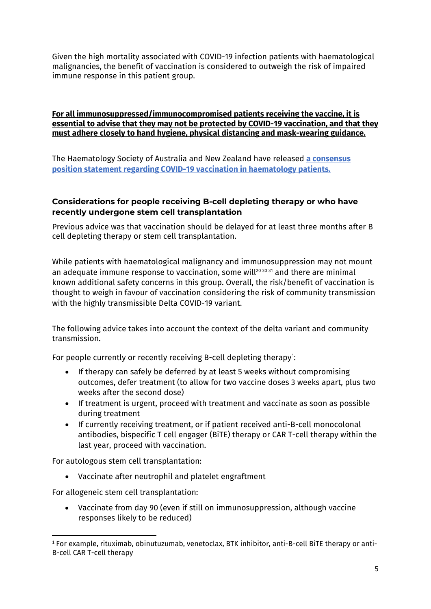Given the high mortality associated with COVID-19 infection patients with haematological malignancies, the benefit of vaccination is considered to outweigh the risk of impaired immune response in this patient group.

#### **For all immunosuppressed/immunocompromised patients receiving the vaccine, it is essential to advise that they may not be protected by COVID-19 vaccination, and that they must adhere closely to hand hygiene, physical distancing and mask-wearing guidance.**

The Haematology Society of Australia and New Zealand have released **[a consensus](https://www.hsanz.org.au/news/10054698)  [position statement regarding COVID-19 vaccination in haematology patients.](https://www.hsanz.org.au/news/10054698)**

#### **Considerations for people receiving B-cell depleting therapy or who have recently undergone stem cell transplantation**

Previous advice was that vaccination should be delayed for at least three months after B cell depleting therapy or stem cell transplantation.

While patients with haematological malignancy and immunosuppression may not mount an adequate immune response to vaccination, some will<sup>20 30 31</sup> and there are minimal known additional safety concerns in this group. Overall, the risk/benefit of vaccination is thought to weigh in favour of vaccination considering the risk of community transmission with the highly transmissible Delta COVID-19 variant.

The following advice takes into account the context of the delta variant and community transmission.

For people currently or recently receiving B-cell depleting therapy":

- If therapy can safely be deferred by at least 5 weeks without compromising outcomes, defer treatment (to allow for two vaccine doses 3 weeks apart, plus two weeks after the second dose)
- If treatment is urgent, proceed with treatment and vaccinate as soon as possible during treatment
- If currently receiving treatment, or if patient received anti-B-cell monocolonal antibodies, bispecific T cell engager (BiTE) therapy or CAR T-cell therapy within the last year, proceed with vaccination.

For autologous stem cell transplantation:

• Vaccinate after neutrophil and platelet engraftment

For allogeneic stem cell transplantation:

• Vaccinate from day 90 (even if still on immunosuppression, although vaccine responses likely to be reduced)

<span id="page-4-0"></span><sup>1</sup> For example, rituximab, obinutuzumab, venetoclax, BTK inhibitor, anti-B-cell BiTE therapy or anti-B-cell CAR T-cell therapy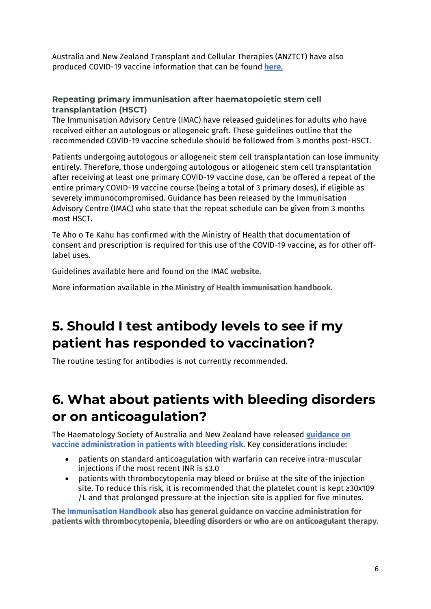Australia and New Zealand Transplant and Cellular Therapies (ANZTCT) have also produced COVID-19 vaccine information that can be found **[here.](https://anztct.org.au/anztct-covid-19-vaccination-position-statement/)**

#### **Repeating primary immunisation after haematopoietic stem cell transplantation (HSCT)**

The Immunisation Advisory Centre (IMAC) have released guidelines for adults who have received either an autologous or allogeneic graft. These guidelines outline that the recommended COVID-19 vaccine schedule should be followed from 3 months post-HSCT.

Patients undergoing autologous or allogeneic stem cell transplantation can lose immunity entirely. Therefore, those undergoing autologous or allogeneic stem cell transplantation after receiving at least one primary COVID-19 vaccine dose, can be offered a repeat of the entire primary COVID-19 vaccine course (being a total of 3 primary doses), if eligible as severely immunocompromised. Guidance has been released by the Immunisation Advisory Centre (IMAC) who state that the repeat schedule can be given from 3 months most HSCT.

Te Aho o Te Kahu has confirmed with the Ministry of Health that documentation of consent and prescription is required for this use of the COVID-19 vaccine, as for other offlabel uses.

Guidelines available **[here](https://www.immune.org.nz/sites/default/files/resources/Written%20Resources/ProgrammeHsctAdultImac20210715V01Final.pdf)** and found on the IMAC **[website.](https://www.immune.org.nz/resources/written-resources)**

More information available in the **[Ministry of Health immunisation handbook](https://www.health.govt.nz/our-work/immunisation-handbook-2020/4-immunisation-special-groups#4-3)**.

## **5. Should I test antibody levels to see if my patient has responded to vaccination?**

The routine testing for antibodies is not currently recommended.

## **6. What about patients with bleeding disorders or on anticoagulation?**

The Haematology Society of Australia and New Zealand have released **[guidance on](https://www.hsanz.org.au/news/10054698)  [vaccine administration in patients with bleeding risk.](https://www.hsanz.org.au/news/10054698)** Key considerations include:

- patients on standard anticoagulation with warfarin can receive intra-muscular injections if the most recent INR is ≤3.0
- patients with thrombocytopenia may bleed or bruise at the site of the injection site. To reduce this risk, it is recommended that the platelet count is kept ≥30x109 /L and that prolonged pressure at the injection site is applied for five minutes.

**The [Immunisation Handbook](https://www.health.govt.nz/publication/immunisation-handbook-2020) also has general guidance on vaccine administration for patients with thrombocytopenia, bleeding disorders or who are on anticoagulant therapy.**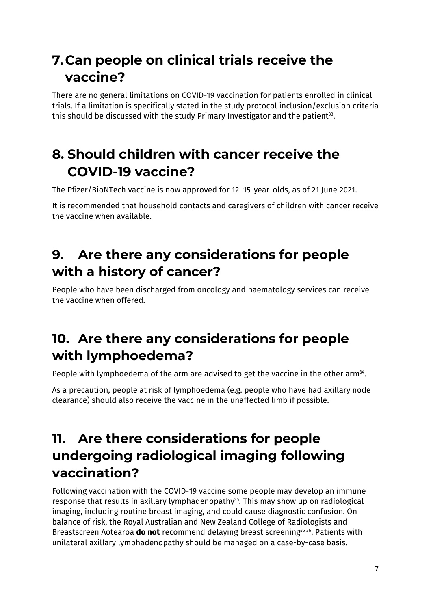## **7.Can people on clinical trials receive the vaccine?**

There are no general limitations on COVID-19 vaccination for patients enrolled in clinical trials. If a limitation is specifically stated in the study protocol inclusion/exclusion criteria this should be discussed with the study Primary Investigator and the patient<sup>33</sup>.

## **8. Should children with cancer receive the COVID-19 vaccine?**

The Pfizer/BioNTech vaccine is now approved for 12–15-year-olds, as of 21 June 2021.

It is recommended that household contacts and caregivers of children with cancer receive the vaccine when available.

## **9. Are there any considerations for people with a history of cancer?**

People who have been discharged from oncology and haematology services can receive the vaccine when offered.

## **10. Are there any considerations for people with lymphoedema?**

People with lymphoedema of the arm are advised to get the vaccine in the other arm<sup>34</sup>.

As a precaution, people at risk of lymphoedema (e.g. people who have had axillary node clearance) should also receive the vaccine in the unaffected limb if possible.

## **11. Are there considerations for people undergoing radiological imaging following vaccination?**

Following vaccination with the COVID-19 vaccine some people may develop an immune response that results in axillary lymphadenopathy<sup>35</sup>. This may show up on radiological imaging, including routine breast imaging, and could cause diagnostic confusion. On balance of risk, the Royal Australian and New Zealand College of Radiologists and Breastscreen Aotearoa **do not** recommend delaying breast screening35 36. Patients with unilateral axillary lymphadenopathy should be managed on a case-by-case basis.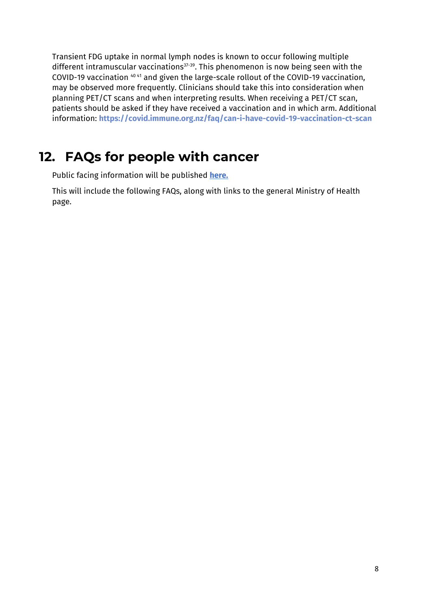Transient FDG uptake in normal lymph nodes is known to occur following multiple different intramuscular vaccinations<sup>37-39</sup>. This phenomenon is now being seen with the COVID-19 vaccination 40 41 and given the large-scale rollout of the COVID-19 vaccination, may be observed more frequently. Clinicians should take this into consideration when planning PET/CT scans and when interpreting results. When receiving a PET/CT scan, patients should be asked if they have received a vaccination and in which arm. Additional information: **<https://covid.immune.org.nz/faq/can-i-have-covid-19-vaccination-ct-scan>**

### **12. FAQs for people with cancer**

Public facing information will be published **[here.](https://teaho.govt.nz/cancer/covid19)**

This will include the following FAQs, along with links to the general Ministry of Health page.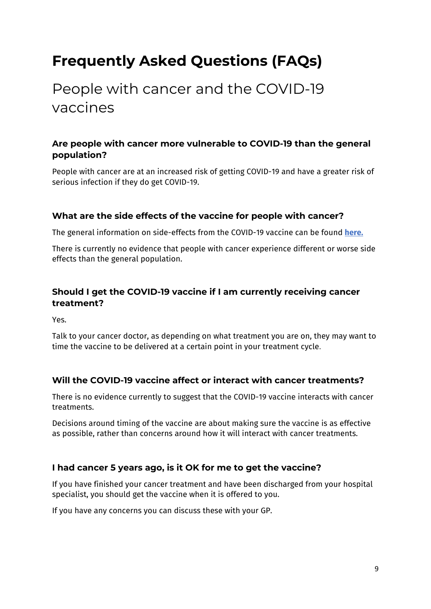# **Frequently Asked Questions (FAQs)**

# People with cancer and the COVID-19 vaccines

### **Are people with cancer more vulnerable to COVID-19 than the general population?**

People with cancer are at an increased risk of getting COVID-19 and have a greater risk of serious infection if they do get COVID-19.

#### **What are the side effects of the vaccine for people with cancer?**

The general information on side-effects from the COVID-19 vaccine can be found **[here.](https://www.health.govt.nz/our-work/diseases-and-conditions/covid-19-novel-coronavirus/covid-19-vaccines/covid-19-getting-vaccine/covid-19-what-expect-your-vaccination#after)**

There is currently no evidence that people with cancer experience different or worse side effects than the general population.

### **Should I get the COVID-19 vaccine if I am currently receiving cancer treatment?**

Yes.

Talk to your cancer doctor, as depending on what treatment you are on, they may want to time the vaccine to be delivered at a certain point in your treatment cycle.

#### **Will the COVID-19 vaccine affect or interact with cancer treatments?**

There is no evidence currently to suggest that the COVID-19 vaccine interacts with cancer treatments.

Decisions around timing of the vaccine are about making sure the vaccine is as effective as possible, rather than concerns around how it will interact with cancer treatments.

### **I had cancer 5 years ago, is it OK for me to get the vaccine?**

If you have finished your cancer treatment and have been discharged from your hospital specialist, you should get the vaccine when it is offered to you.

If you have any concerns you can discuss these with your GP.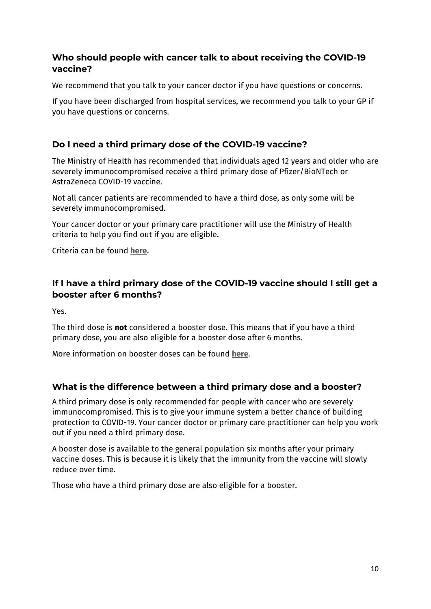#### **Who should people with cancer talk to about receiving the COVID-19 vaccine?**

We recommend that you talk to your cancer doctor if you have questions or concerns.

If you have been discharged from hospital services, we recommend you talk to your GP if you have questions or concerns.

### **Do I need a third primary dose of the COVID-19 vaccine?**

The Ministry of Health has recommended that individuals aged 12 years and older who are severely immunocompromised receive a third primary dose of Pfizer/BioNTech or AstraZeneca COVID-19 vaccine.

Not all cancer patients are recommended to have a third dose, as only some will be severely immunocompromised.

Your cancer doctor or your primary care practitioner will use the Ministry of Health criteria to help you find out if you are eligible.

Criteria can be found **[here.](https://www.health.govt.nz/our-work/diseases-and-conditions/covid-19-novel-coronavirus/covid-19-vaccines/covid-19-vaccine-health-advice/covid-19-vaccine-severely-immunocompromised-people)**

### **If I have a third primary dose of the COVID-19 vaccine should I still get a booster after 6 months?**

Yes.

The third dose is **not** considered a booster dose. This means that if you have a third primary dose, you are also eligible for a booster dose after 6 months.

More information on booster doses can be found **[here](https://www.health.govt.nz/our-work/diseases-and-conditions/covid-19-novel-coronavirus/covid-19-vaccines/covid-19-vaccine-boosters)**.

### **What is the difference between a third primary dose and a booster?**

A third primary dose is only recommended for people with cancer who are severely immunocompromised. This is to give your immune system a better chance of building protection to COVID-19. Your cancer doctor or primary care practitioner can help you work out if you need a third primary dose.

A booster dose is available to the general population six months after your primary vaccine doses. This is because it is likely that the immunity from the vaccine will slowly reduce over time.

Those who have a third primary dose are also eligible for a booster.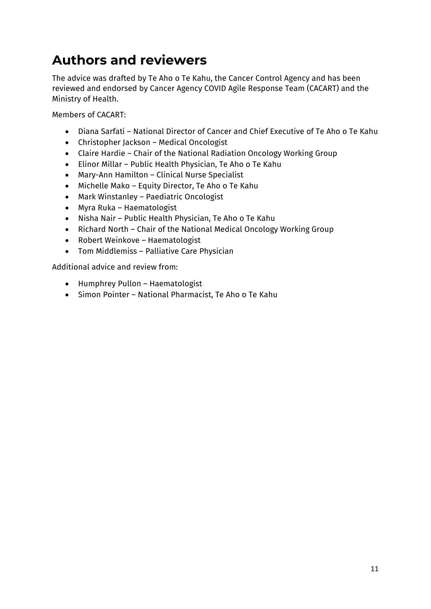## **Authors and reviewers**

The advice was drafted by Te Aho o Te Kahu, the Cancer Control Agency and has been reviewed and endorsed by Cancer Agency COVID Agile Response Team (CACART) and the Ministry of Health.

Members of CACART:

- Diana Sarfati National Director of Cancer and Chief Executive of Te Aho o Te Kahu
- Christopher Jackson Medical Oncologist
- Claire Hardie Chair of the National Radiation Oncology Working Group
- Elinor Millar Public Health Physician, Te Aho o Te Kahu
- Mary-Ann Hamilton Clinical Nurse Specialist
- Michelle Mako Equity Director, Te Aho o Te Kahu
- Mark Winstanley Paediatric Oncologist
- Myra Ruka Haematologist
- Nisha Nair Public Health Physician, Te Aho o Te Kahu
- Richard North Chair of the National Medical Oncology Working Group
- Robert Weinkove Haematologist
- Tom Middlemiss Palliative Care Physician

Additional advice and review from:

- Humphrey Pullon Haematologist
- Simon Pointer National Pharmacist, Te Aho o Te Kahu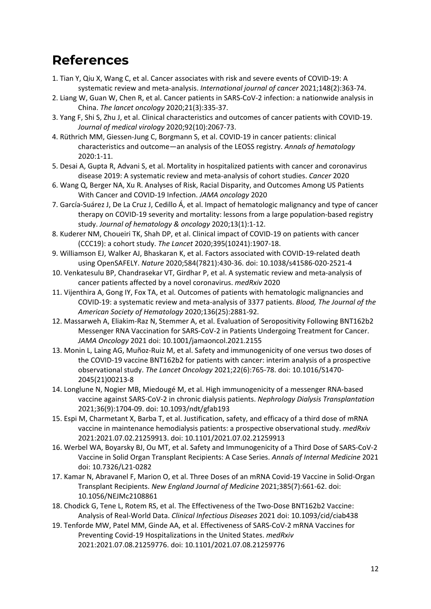### **References**

- 1. Tian Y, Qiu X, Wang C, et al. Cancer associates with risk and severe events of COVID‐19: A systematic review and meta‐analysis. *International journal of cancer* 2021;148(2):363-74.
- 2. Liang W, Guan W, Chen R, et al. Cancer patients in SARS-CoV-2 infection: a nationwide analysis in China. *The lancet oncology* 2020;21(3):335-37.
- 3. Yang F, Shi S, Zhu J, et al. Clinical characteristics and outcomes of cancer patients with COVID‐19. *Journal of medical virology* 2020;92(10):2067-73.
- 4. Rüthrich MM, Giessen-Jung C, Borgmann S, et al. COVID-19 in cancer patients: clinical characteristics and outcome—an analysis of the LEOSS registry. *Annals of hematology* 2020:1-11.
- 5. Desai A, Gupta R, Advani S, et al. Mortality in hospitalized patients with cancer and coronavirus disease 2019: A systematic review and meta‐analysis of cohort studies. *Cancer* 2020
- 6. Wang Q, Berger NA, Xu R. Analyses of Risk, Racial Disparity, and Outcomes Among US Patients With Cancer and COVID-19 Infection. *JAMA oncology* 2020
- 7. García-Suárez J, De La Cruz J, Cedillo Á, et al. Impact of hematologic malignancy and type of cancer therapy on COVID-19 severity and mortality: lessons from a large population-based registry study. *Journal of hematology & oncology* 2020;13(1):1-12.
- 8. Kuderer NM, Choueiri TK, Shah DP, et al. Clinical impact of COVID-19 on patients with cancer (CCC19): a cohort study. *The Lancet* 2020;395(10241):1907-18.
- 9. Williamson EJ, Walker AJ, Bhaskaran K, et al. Factors associated with COVID-19-related death using OpenSAFELY. *Nature* 2020;584(7821):430-36. doi: 10.1038/s41586-020-2521-4
- 10. Venkatesulu BP, Chandrasekar VT, Girdhar P, et al. A systematic review and meta-analysis of cancer patients affected by a novel coronavirus. *medRxiv* 2020
- 11. Vijenthira A, Gong IY, Fox TA, et al. Outcomes of patients with hematologic malignancies and COVID-19: a systematic review and meta-analysis of 3377 patients. *Blood, The Journal of the American Society of Hematology* 2020;136(25):2881-92.
- 12. Massarweh A, Eliakim-Raz N, Stemmer A, et al. Evaluation of Seropositivity Following BNT162b2 Messenger RNA Vaccination for SARS-CoV-2 in Patients Undergoing Treatment for Cancer. *JAMA Oncology* 2021 doi: 10.1001/jamaoncol.2021.2155
- 13. Monin L, Laing AG, Muñoz-Ruiz M, et al. Safety and immunogenicity of one versus two doses of the COVID-19 vaccine BNT162b2 for patients with cancer: interim analysis of a prospective observational study. *The Lancet Oncology* 2021;22(6):765-78. doi: 10.1016/S1470-2045(21)00213-8
- 14. Longlune N, Nogier MB, Miedougé M, et al. High immunogenicity of a messenger RNA-based vaccine against SARS-CoV-2 in chronic dialysis patients. *Nephrology Dialysis Transplantation* 2021;36(9):1704-09. doi: 10.1093/ndt/gfab193
- 15. Espi M, Charmetant X, Barba T, et al. Justification, safety, and efficacy of a third dose of mRNA vaccine in maintenance hemodialysis patients: a prospective observational study. *medRxiv* 2021:2021.07.02.21259913. doi: 10.1101/2021.07.02.21259913
- 16. Werbel WA, Boyarsky BJ, Ou MT, et al. Safety and Immunogenicity of a Third Dose of SARS-CoV-2 Vaccine in Solid Organ Transplant Recipients: A Case Series. *Annals of Internal Medicine* 2021 doi: 10.7326/L21-0282
- 17. Kamar N, Abravanel F, Marion O, et al. Three Doses of an mRNA Covid-19 Vaccine in Solid-Organ Transplant Recipients. *New England Journal of Medicine* 2021;385(7):661-62. doi: 10.1056/NEJMc2108861
- 18. Chodick G, Tene L, Rotem RS, et al. The Effectiveness of the Two-Dose BNT162b2 Vaccine: Analysis of Real-World Data. *Clinical Infectious Diseases* 2021 doi: 10.1093/cid/ciab438
- 19. Tenforde MW, Patel MM, Ginde AA, et al. Effectiveness of SARS-CoV-2 mRNA Vaccines for Preventing Covid-19 Hospitalizations in the United States. *medRxiv* 2021:2021.07.08.21259776. doi: 10.1101/2021.07.08.21259776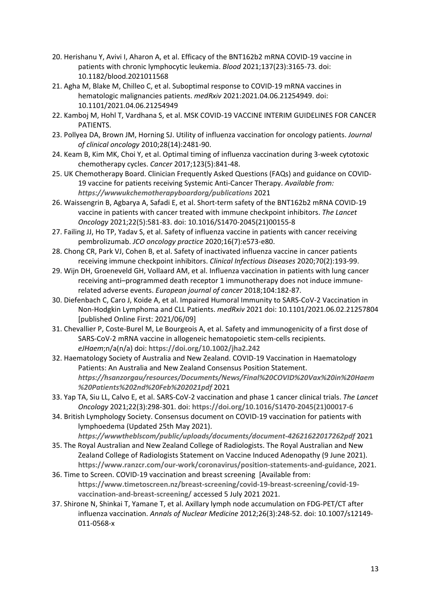- 20. Herishanu Y, Avivi I, Aharon A, et al. Efficacy of the BNT162b2 mRNA COVID-19 vaccine in patients with chronic lymphocytic leukemia. *Blood* 2021;137(23):3165-73. doi: 10.1182/blood.2021011568
- 21. Agha M, Blake M, Chilleo C, et al. Suboptimal response to COVID-19 mRNA vaccines in hematologic malignancies patients. *medRxiv* 2021:2021.04.06.21254949. doi: 10.1101/2021.04.06.21254949
- 22. Kamboj M, Hohl T, Vardhana S, et al. MSK COVID-19 VACCINE INTERIM GUIDELINES FOR CANCER PATIENTS.
- 23. Pollyea DA, Brown JM, Horning SJ. Utility of influenza vaccination for oncology patients. *Journal of clinical oncology* 2010;28(14):2481-90.
- 24. Keam B, Kim MK, Choi Y, et al. Optimal timing of influenza vaccination during 3‐week cytotoxic chemotherapy cycles. *Cancer* 2017;123(5):841-48.
- 25. UK Chemotherapy Board. Clinician Frequently Asked Questions (FAQs) and guidance on COVID-19 vaccine for patients receiving Systemic Anti-Cancer Therapy. *Available from: <https://wwwukchemotherapyboardorg/publications>* 2021
- 26. Waissengrin B, Agbarya A, Safadi E, et al. Short-term safety of the BNT162b2 mRNA COVID-19 vaccine in patients with cancer treated with immune checkpoint inhibitors. *The Lancet Oncology* 2021;22(5):581-83. doi: 10.1016/S1470-2045(21)00155-8
- 27. Failing JJ, Ho TP, Yadav S, et al. Safety of influenza vaccine in patients with cancer receiving pembrolizumab. *JCO oncology practice* 2020;16(7):e573-e80.
- 28. Chong CR, Park VJ, Cohen B, et al. Safety of inactivated influenza vaccine in cancer patients receiving immune checkpoint inhibitors. *Clinical Infectious Diseases* 2020;70(2):193-99.
- 29. Wijn DH, Groeneveld GH, Vollaard AM, et al. Influenza vaccination in patients with lung cancer receiving anti–programmed death receptor 1 immunotherapy does not induce immunerelated adverse events. *European journal of cancer* 2018;104:182-87.
- 30. Diefenbach C, Caro J, Koide A, et al. Impaired Humoral Immunity to SARS-CoV-2 Vaccination in Non-Hodgkin Lymphoma and CLL Patients. *medRxiv* 2021 doi: 10.1101/2021.06.02.21257804 [published Online First: 2021/06/09]
- 31. Chevallier P, Coste-Burel M, Le Bourgeois A, et al. Safety and immunogenicity of a first dose of SARS-CoV-2 mRNA vaccine in allogeneic hematopoietic stem-cells recipients. *eJHaem*;n/a(n/a) doi: **<https://doi.org/10.1002/jha2.242>**
- 32. Haematology Society of Australia and New Zealand. COVID-19 Vaccination in Haematology Patients: An Australia and New Zealand Consensus Position Statement. *[https://hsanzorgau/resources/Documents/News/Final%20COVID%20Vax%20in%20Haem](https://hsanzorgau/resources/Documents/News/Final%20COVID%20Vax%20in%20Haem%20Patients%202nd%20Feb%202021pdf) [%20Patients%202nd%20Feb%202021pdf](https://hsanzorgau/resources/Documents/News/Final%20COVID%20Vax%20in%20Haem%20Patients%202nd%20Feb%202021pdf)* 2021
- 33. Yap TA, Siu LL, Calvo E, et al. SARS-CoV-2 vaccination and phase 1 cancer clinical trials. *The Lancet Oncology* 2021;22(3):298-301. doi: **[https://doi.org/10.1016/S1470-2045\(21\)00017-6](https://doi.org/10.1016/S1470-2045(21)00017-6)**
- 34. British Lymphology Society. Consensus document on COVID-19 vaccination for patients with lymphoedema (Updated 25th May 2021). *<https://wwwtheblscom/public/uploads/documents/document-42621622017262pdf>* 2021
- 35. The Royal Australian and New Zealand College of Radiologists. The Royal Australian and New Zealand College of Radiologists Statement on Vaccine Induced Adenopathy (9 June 2021). **<https://www.ranzcr.com/our-work/coronavirus/position-statements-and-guidance>**, 2021.
- 36. Time to Screen. COVID-19 vaccination and breast screening [Available from: **[https://www.timetoscreen.nz/breast-screening/covid-19-breast-screening/covid-19](https://www.timetoscreen.nz/breast-screening/covid-19-breast-screening/covid-19-vaccination-and-breast-screening/) [vaccination-and-breast-screening/](https://www.timetoscreen.nz/breast-screening/covid-19-breast-screening/covid-19-vaccination-and-breast-screening/)** accessed 5 July 2021 2021.
- 37. Shirone N, Shinkai T, Yamane T, et al. Axillary lymph node accumulation on FDG-PET/CT after influenza vaccination. *Annals of Nuclear Medicine* 2012;26(3):248-52. doi: 10.1007/s12149-011-0568-x